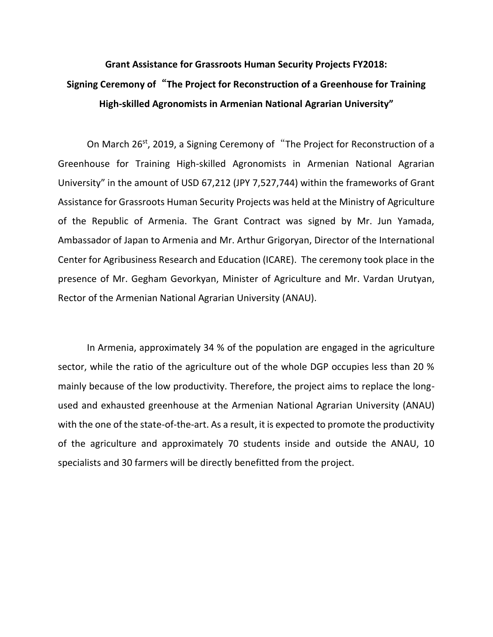## **Grant Assistance for Grassroots Human Security Projects FY2018: Signing Ceremony of**"**The Project for Reconstruction of a Greenhouse for Training High-skilled Agronomists in Armenian National Agrarian University"**

On March 26<sup>st</sup>, 2019, a Signing Ceremony of "The Project for Reconstruction of a Greenhouse for Training High-skilled Agronomists in Armenian National Agrarian University" in the amount of USD 67,212 (JPY 7,527,744) within the frameworks of Grant Assistance for Grassroots Human Security Projects was held at the Ministry of Agriculture of the Republic of Armenia. The Grant Contract was signed by Mr. Jun Yamada, Ambassador of Japan to Armenia and Mr. Arthur Grigoryan, Director of the International Center for Agribusiness Research and Education (ICARE). The ceremony took place in the presence of Mr. Gegham Gevorkyan, Minister of Agriculture and Mr. Vardan Urutyan, Rector of the Armenian National Agrarian University (ANAU).

In Armenia, approximately 34 % of the population are engaged in the agriculture sector, while the ratio of the agriculture out of the whole DGP occupies less than 20 % mainly because of the low productivity. Therefore, the project aims to replace the longused and exhausted greenhouse at the Armenian National Agrarian University (ANAU) with the one of the state-of-the-art. As a result, it is expected to promote the productivity of the agriculture and approximately 70 students inside and outside the ANAU, 10 specialists and 30 farmers will be directly benefitted from the project.